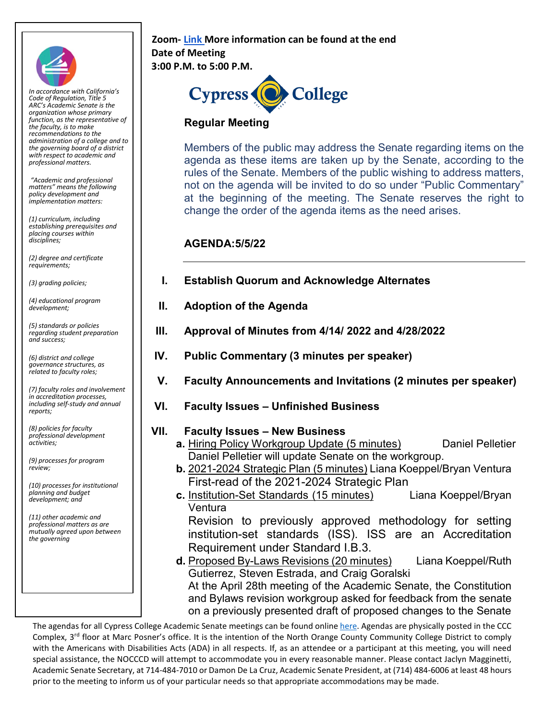

*In accordance with California's Code of Regulation, Title 5 ARC's Academic Senate is the organization whose primary function, as the representative of the faculty, is to make recommendations to the administration of a college and to the governing board of a district with respect to academic and professional matters.*

*"Academic and professional matters" means the following policy development and implementation matters:*

*(1) curriculum, including establishing prerequisites and placing courses within disciplines;* 

*(2) degree and certificate requirements;* 

*(3) grading policies;* 

*(4) educational program development;* 

*(5) standards or policies regarding student preparation and success;* 

*(6) district and college governance structures, as related to faculty roles;* 

*(7) faculty roles and involvement in accreditation processes, including self-study and annual reports;* 

*(8) policies for faculty professional development activities;* 

*(9) processes for program review;* 

*(10) processes for institutional planning and budget development; and* 

*(11) other academic and professional matters as are mutually agreed upon between the governing*

## **Zoom[-](https://cypresscollege-edu.zoom.us/j/98305681363?pwd=akYwS3l0TjdkODFGRXN3QW9IZ3BEZz09) [Link](https://cypresscollege-edu.zoom.us/j/98305681363?pwd=akYwS3l0TjdkODFGRXN3QW9IZ3BEZz09) More information can be found at the end Date of Meeting 3:00 P.M. to 5:00 P.M.**



## **Regular Meeting**

Members of the public may address the Senate regarding items on the agenda as these items are taken up by the Senate, according to the rules of the Senate. Members of the public wishing to address matters, not on the agenda will be invited to do so under "Public Commentary" at the beginning of the meeting. The Senate reserves the right to change the order of the agenda items as the need arises.

## **AGENDA:5/5/22**

| I. | <b>Establish Quorum and Acknowledge Alternates</b> |  |
|----|----------------------------------------------------|--|
|    |                                                    |  |

- **II. Adoption of the Agenda**
- **III. Approval of Minutes from 4/14/ 2022 and 4/28/2022**
- **IV. Public Commentary (3 minutes per speaker)**
- **V. Faculty Announcements and Invitations (2 minutes per speaker)**
- **VI. Faculty Issues – Unfinished Business**
- **VII. Faculty Issues – New Business**
	- **a.** Hiring Policy Workgroup Update (5 minutes) Daniel Pelletier Daniel Pelletier will update Senate on the workgroup.
	- **b.** 2021-2024 Strategic Plan (5 minutes) Liana Koeppel/Bryan Ventura First-read of the 2021-2024 Strategic Plan
	- **c.** Institution-Set Standards (15 minutes) Liana Koeppel/Bryan Ventura

Revision to previously approved methodology for setting institution-set standards (ISS). ISS are an Accreditation Requirement under Standard I.B.3.

**d.** Proposed By-Laws Revisions (20 minutes) Liana Koeppel/Ruth Gutierrez, Steven Estrada, and Craig Goralski At the April 28th meeting of the Academic Senate, the Constitution and Bylaws revision workgroup asked for feedback from the senate on a previously presented draft of proposed changes to the Senate

Th[e](https://www.cypresscollege.edu/about/cypress-college-governance/academic-senate/agendas-and-minutes/) agendas for all Cypress College Academic Senate meetings can be found online [here.](https://www.cypresscollege.edu/about/cypress-college-governance/academic-senate/agendas-and-minutes/) Agendas are physically posted in the CCC Complex, 3rd floor at Marc Posner's office. It is the intention of the North Orange County Community College District to comply with the Americans with Disabilities Acts (ADA) in all respects. If, as an attendee or a participant at this meeting, you will need special assistance, the NOCCCD will attempt to accommodate you in every reasonable manner. Please contact Jaclyn Magginetti, Academic Senate Secretary, at 714-484-7010 or Damon De La Cruz, Academic Senate President, at (714) 484-6006 at least 48 hours prior to the meeting to inform us of your particular needs so that appropriate accommodations may be made.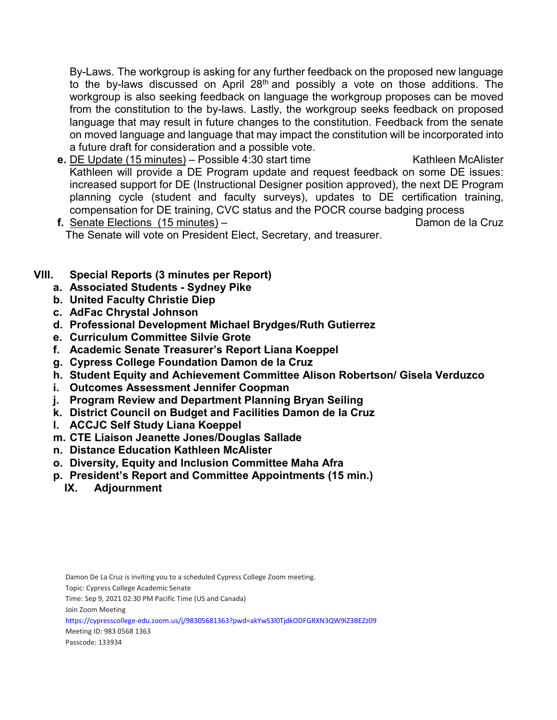By-Laws. The workgroup is asking for any further feedback on the proposed new language to the by-laws discussed on April 28th and possibly a vote on those additions. The workgroup is also seeking feedback on language the workgroup proposes can be moved from the constitution to the by-laws. Lastly, the workgroup seeks feedback on proposed language that may result in future changes to the constitution. Feedback from the senate on moved language and language that may impact the constitution will be incorporated into a future draft for consideration and a possible vote.

- **e.** DE Update (15 minutes) Possible 4:30 start time Kathleen McAlister Kathleen will provide a DE Program update and request feedback on some DE issues: increased support for DE (Instructional Designer position approved), the next DE Program planning cycle (student and faculty surveys), updates to DE certification training, compensation for DE training, CVC status and the POCR course badging process
- **f.** Senate Elections (15 minutes) Damon de la Cruz The Senate will vote on President Elect, Secretary, and treasurer.
- **VIII. Special Reports (3 minutes per Report)**
	- **a. Associated Students - Sydney Pike**
	- **b. United Faculty Christie Diep**
	- **c. AdFac Chrystal Johnson**
	- **d. Professional Development Michael Brydges/Ruth Gutierrez**
	- **e. Curriculum Committee Silvie Grote**
	- **f. Academic Senate Treasurer's Report Liana Koeppel**
	- **g. Cypress College Foundation Damon de la Cruz**
	- **h. Student Equity and Achievement Committee Alison Robertson/ Gisela Verduzco**
	- **i. Outcomes Assessment Jennifer Coopman**
	- **j. Program Review and Department Planning Bryan Seiling**
	- **k. District Council on Budget and Facilities Damon de la Cruz**
	- **l. ACCJC Self Study Liana Koeppel**
	- **m. CTE Liaison Jeanette Jones/Douglas Sallade**
	- **n. Distance Education Kathleen McAlister**
	- **o. Diversity, Equity and Inclusion Committee Maha Afra**
	- **p. President's Report and Committee Appointments (15 min.)**
		- **IX. Adjournment**

Topic: Cypress College Academic Senate

Time: Sep 9, 2021 02:30 PM Pacific Time (US and Canada)

Join Zoom Meeting

https://cypresscollege-edu.zoom.us/j/98305681363?pwd=akYwS3l0TjdkODFGRXN3QW9IZ3BEZz09

Meeting ID: 983 0568 1363

Passcode: 133934

Damon De La Cruz is inviting you to a scheduled Cypress College Zoom meeting.